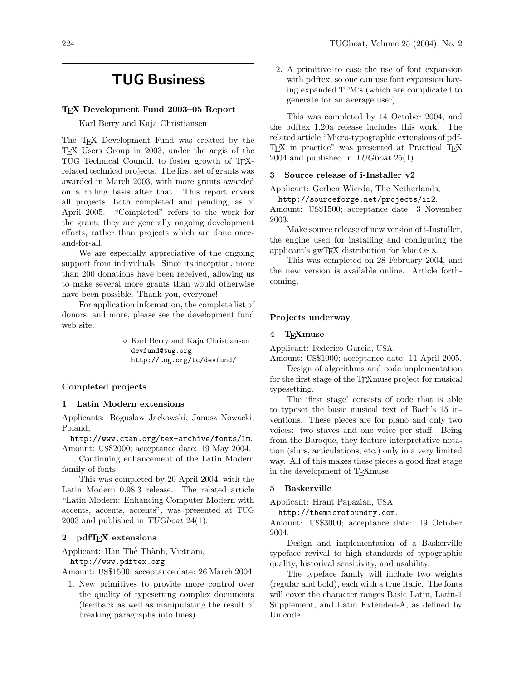# TUG Business

#### TEX Development Fund 2003–05 Report

Karl Berry and Kaja Christiansen

The T<sub>EX</sub> Development Fund was created by the TEX Users Group in 2003, under the aegis of the TUG Technical Council, to foster growth of TEXrelated technical projects. The first set of grants was awarded in March 2003, with more grants awarded on a rolling basis after that. This report covers all projects, both completed and pending, as of April 2005. "Completed" refers to the work for the grant; they are generally ongoing development efforts, rather than projects which are done onceand-for-all.

We are especially appreciative of the ongoing support from individuals. Since its inception, more than 200 donations have been received, allowing us to make several more grants than would otherwise have been possible. Thank you, everyone!

For application information, the complete list of donors, and more, please see the development fund web site.

> $\diamond$  Karl Berry and Kaja Christiansen devfund@tug.org http://tug.org/tc/devfund/

#### Completed projects

### 1 Latin Modern extensions

Applicants: Boguslaw Jackowski, Janusz Nowacki, Poland,

<http://www.ctan.org/tex-archive/fonts/lm>. Amount: US\$2000; acceptance date: 19 May 2004.

Continuing enhancement of the Latin Modern family of fonts.

This was completed by 20 April 2004, with the Latin Modern 0.98.3 release. The related article "Latin Modern: Enhancing Computer Modern with accents, accents, accents", was presented at TUG 2003 and published in TUGboat 24(1).

# 2 pdfTEX extensions

Applicant: Hàn Thế Thành, Vietnam,

<http://www.pdftex.org>.

Amount: US\$1500; acceptance date: 26 March 2004.

1. New primitives to provide more control over the quality of typesetting complex documents (feedback as well as manipulating the result of breaking paragraphs into lines).

2. A primitive to ease the use of font expansion with pdftex, so one can use font expansion having expanded TFM's (which are complicated to generate for an average user).

This was completed by 14 October 2004, and the pdftex 1.20a release includes this work. The related article "Micro-typographic extensions of pdf-T<sub>EX</sub> in practice" was presented at Practical T<sub>EX</sub> 2004 and published in TUGboat 25(1).

# 3 Source release of i-Installer v2

Applicant: Gerben Wierda, The Netherlands,

<http://sourceforge.net/projects/ii2>.

Amount: US\$1500; acceptance date: 3 November 2003.

Make source release of new version of i-Installer, the engine used for installing and configuring the applicant's gwTEX distribution for Mac OS X.

This was completed on 28 February 2004, and the new version is available online. Article forthcoming.

#### Projects underway

#### 4 TEXmuse

Applicant: Federico Garcia, USA.

Amount: US\$1000; acceptance date: 11 April 2005.

Design of algorithms and code implementation for the first stage of the TEXmuse project for musical typesetting.

The 'first stage' consists of code that is able to typeset the basic musical text of Bach's 15 inventions. These pieces are for piano and only two voices: two staves and one voice per staff. Being from the Baroque, they feature interpretative notation (slurs, articulations, etc.) only in a very limited way. All of this makes these pieces a good first stage in the development of TEXmuse.

#### 5 Baskerville

Applicant: Hrant Papazian, USA,

<http://themicrofoundry.com>.

Amount: US\$3000; acceptance date: 19 October 2004.

Design and implementation of a Baskerville typeface revival to high standards of typographic quality, historical sensitivity, and usability.

The typeface family will include two weights (regular and bold), each with a true italic. The fonts will cover the character ranges Basic Latin, Latin-1 Supplement, and Latin Extended-A, as defined by Unicode.